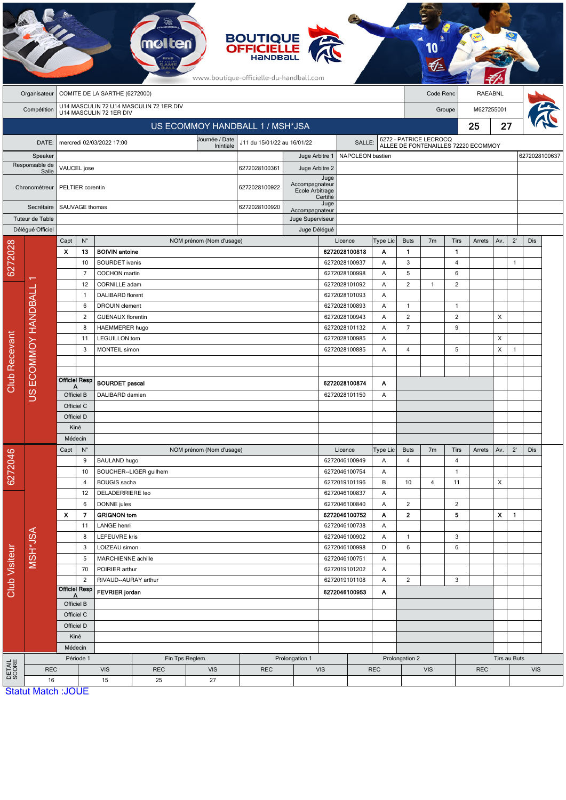|                      |                                 |                                                       |                         |                                                           |                        |                             | <b>BOUTIQUE<br/>OFFICIELLE</b><br>www.boutique-officielle-du-handball.com |                                 |               |                                                                                        |                 |                         |                                                               |                |        |                            |               |     |  |
|----------------------|---------------------------------|-------------------------------------------------------|-------------------------|-----------------------------------------------------------|------------------------|-----------------------------|---------------------------------------------------------------------------|---------------------------------|---------------|----------------------------------------------------------------------------------------|-----------------|-------------------------|---------------------------------------------------------------|----------------|--------|----------------------------|---------------|-----|--|
|                      | Organisateur                    | COMITE DE LA SARTHE (6272000)                         |                         |                                                           |                        |                             |                                                                           |                                 |               |                                                                                        |                 | Code Renc               |                                                               | RAEABNL        |        |                            |               |     |  |
|                      | Compétition                     | U14 MASCULIN 72 U14 MASCULIN 72 1ER DIV               |                         |                                                           |                        |                             |                                                                           |                                 |               |                                                                                        |                 |                         | Groupe                                                        | M627255001     |        |                            |               |     |  |
|                      |                                 | U14 MASCULIN 72 1ER DIV                               |                         |                                                           |                        |                             |                                                                           |                                 |               |                                                                                        |                 |                         |                                                               |                |        |                            |               |     |  |
|                      | US ECOMMOY HANDBALL 1 / MSH*JSA |                                                       |                         |                                                           |                        |                             |                                                                           |                                 |               |                                                                                        |                 |                         |                                                               |                | 25     | 27                         |               |     |  |
|                      | DATE:                           |                                                       |                         | mercredi 02/03/2022 17:00                                 |                        | Journée / Date<br>Inintiale | J11 du 15/01/22 au 16/01/22                                               |                                 | SALLE:        |                                                                                        |                 |                         | 6272 - PATRICE LECROCQ<br>ALLEE DE FONTENAILLES 72220 ECOMMOY |                |        |                            |               |     |  |
|                      | Speaker                         |                                                       |                         |                                                           |                        |                             | Juge Arbitre 1                                                            | NAPOLEON bastien                |               |                                                                                        |                 |                         |                                                               |                |        |                            | 6272028100637 |     |  |
|                      | Responsable de<br>Salle         |                                                       | VAUCEL jose             |                                                           |                        |                             |                                                                           | 6272028100361<br>Juge Arbitre 2 |               |                                                                                        |                 |                         |                                                               |                |        |                            |               |     |  |
|                      | Chronométreur                   |                                                       | PELTIER corentin        |                                                           |                        | 6272028100922               | Accompagnateur<br>Ecole Arbitrage                                         | Juge<br>Certifié                |               |                                                                                        |                 |                         |                                                               |                |        |                            |               |     |  |
|                      | Secrétaire                      |                                                       | SAUVAGE thomas          |                                                           |                        | 6272028100920               | Accompagnateur                                                            | Juge                            |               |                                                                                        |                 |                         |                                                               |                |        |                            |               |     |  |
|                      | Tuteur de Table                 |                                                       |                         |                                                           |                        |                             |                                                                           | Juge Superviseur                |               |                                                                                        |                 |                         |                                                               |                |        |                            |               |     |  |
|                      | Délégué Officiel                |                                                       |                         |                                                           |                        |                             |                                                                           | Juge Délégué                    |               |                                                                                        |                 |                         |                                                               |                |        |                            |               |     |  |
|                      |                                 | Capt                                                  | $N^{\circ}$             |                                                           |                        | NOM prénom (Nom d'usage)    |                                                                           |                                 |               | Licence                                                                                | Type Lic        | <b>Buts</b>             | 7 <sub>m</sub>                                                | <b>Tirs</b>    | Arrets | Av.                        | $2^{\prime}$  | Dis |  |
| 6272028              |                                 | X                                                     | 13                      | <b>BOIVIN antoine</b>                                     |                        |                             |                                                                           |                                 |               | 6272028100818                                                                          | Α               | 1                       |                                                               | 1              |        |                            |               |     |  |
|                      |                                 |                                                       | 10<br>$\overline{7}$    | <b>BOURDET</b> ivanis<br><b>COCHON</b> martin             |                        |                             |                                                                           |                                 |               | 6272028100937<br>6272028100998                                                         | Α               | 3<br>5                  |                                                               | 4<br>6         |        |                            | 1             |     |  |
|                      |                                 |                                                       | 12                      | CORNILLE adam                                             |                        |                             |                                                                           |                                 |               | 6272028101092                                                                          | Α<br>Α          | $\overline{2}$          | $\mathbf{1}$                                                  | $\overline{2}$ |        |                            |               |     |  |
|                      |                                 |                                                       | $\mathbf{1}$            | DALIBARD florent                                          |                        |                             |                                                                           |                                 |               | 6272028101093                                                                          | Α               |                         |                                                               |                |        |                            |               |     |  |
|                      |                                 | 6                                                     |                         | <b>DROUIN</b> clement                                     |                        |                             |                                                                           |                                 |               | 6272028100893                                                                          | A               | $\mathbf{1}$            |                                                               | $\mathbf{1}$   |        |                            |               |     |  |
|                      |                                 |                                                       | $\overline{2}$          | <b>GUENAUX florentin</b><br><b>HAEMMERER hugo</b>         |                        |                             |                                                                           |                                 |               | 6272028100943                                                                          | Α               | $\overline{2}$          |                                                               | $\overline{2}$ |        | X                          |               |     |  |
|                      | ECOMMOY HANDBALL                |                                                       | 8                       |                                                           |                        |                             |                                                                           |                                 |               | 6272028101132<br>Α                                                                     |                 |                         |                                                               | 9              |        |                            |               |     |  |
| <b>Club Recevant</b> |                                 |                                                       | 11                      | <b>LEGUILLON</b> tom                                      |                        |                             |                                                                           |                                 |               | 6272028100985<br>A                                                                     |                 |                         |                                                               |                |        | X                          |               |     |  |
|                      |                                 |                                                       | 3                       | <b>MONTEIL</b> simon                                      |                        |                             |                                                                           |                                 |               | 6272028100885                                                                          | Α               | 4                       |                                                               | 5              |        | X                          | $\mathbf{1}$  |     |  |
|                      |                                 |                                                       |                         |                                                           |                        |                             |                                                                           |                                 |               |                                                                                        |                 |                         |                                                               |                |        |                            |               |     |  |
|                      |                                 |                                                       |                         |                                                           |                        |                             |                                                                           |                                 |               |                                                                                        |                 |                         |                                                               |                |        |                            |               |     |  |
|                      | SU                              | <b>Officiel Resp</b><br>Α                             |                         | <b>BOURDET</b> pascal                                     |                        |                             |                                                                           |                                 |               | 6272028100874<br>Α                                                                     |                 |                         |                                                               |                |        |                            |               |     |  |
|                      |                                 | Officiel B                                            |                         | DALIBARD damien                                           |                        |                             |                                                                           | 6272028101150<br>Α              |               |                                                                                        |                 |                         |                                                               |                |        |                            |               |     |  |
|                      |                                 | Officiel C                                            |                         |                                                           |                        |                             |                                                                           |                                 |               |                                                                                        |                 |                         |                                                               |                |        |                            |               |     |  |
|                      |                                 | Officiel D                                            |                         |                                                           |                        |                             |                                                                           |                                 |               |                                                                                        |                 |                         |                                                               |                |        |                            |               |     |  |
|                      |                                 | Kiné<br>Médecin                                       |                         |                                                           |                        |                             |                                                                           |                                 |               |                                                                                        |                 |                         |                                                               |                |        |                            |               |     |  |
|                      |                                 | $\mathsf{N}^\circ$<br>Capt                            |                         |                                                           |                        | NOM prénom (Nom d'usage)    |                                                                           |                                 |               | Licence                                                                                | <b>Type Lic</b> | <b>Buts</b>             | 7m                                                            | Tirs           | Arrets | Av.                        | $2^{\prime}$  | Dis |  |
| 6272046              |                                 |                                                       | 9                       | BAULAND hugo                                              |                        |                             |                                                                           |                                 |               | 6272046100949                                                                          | Α               | $\overline{\mathbf{4}}$ |                                                               | $\overline{4}$ |        |                            |               |     |  |
|                      |                                 |                                                       | 10                      |                                                           | BOUCHER--LIGER guilhem |                             |                                                                           |                                 |               | 6272046100754                                                                          | Α               |                         |                                                               | $\mathbf{1}$   |        |                            |               |     |  |
|                      |                                 |                                                       | $\overline{4}$          | <b>BOUGIS</b> sacha                                       |                        |                             |                                                                           |                                 |               | 6272019101196                                                                          | В               | 10                      | 4                                                             | 11             |        | X                          |               |     |  |
|                      |                                 |                                                       | 12                      | DELADERRIERE leo                                          |                        |                             |                                                                           |                                 |               | 6272046100837                                                                          | Α               |                         |                                                               |                |        |                            |               |     |  |
|                      | MSH*JSA                         |                                                       | 6                       | DONNE jules                                               |                        |                             |                                                                           |                                 |               | 6272046100840                                                                          | A               | $\overline{c}$          |                                                               | $\overline{2}$ |        |                            |               |     |  |
|                      |                                 | $\pmb{\chi}$                                          | $\overline{7}$          | <b>GRIGNON tom</b>                                        |                        |                             |                                                                           |                                 |               | 6272046100752                                                                          | Α               | $\mathbf{2}$            |                                                               | 5              |        | X                          | $\mathbf{1}$  |     |  |
|                      |                                 |                                                       | 11                      | LANGE henri                                               |                        |                             |                                                                           |                                 |               | 6272046100738                                                                          | Α               |                         |                                                               |                |        |                            |               |     |  |
|                      |                                 |                                                       | 8<br>3                  | <b>LEFEUVRE kris</b><br>LOIZEAU simon                     |                        |                             |                                                                           |                                 |               | 3<br>6272046100902<br>$\mathbf{1}$<br>Α<br>$\boldsymbol{6}$<br>6<br>6272046100998<br>D |                 |                         |                                                               |                |        |                            |               |     |  |
|                      |                                 |                                                       | 5<br>MARCHIENNE achille |                                                           |                        |                             |                                                                           | 6272046100751                   |               | Α                                                                                      |                 |                         |                                                               |                |        |                            |               |     |  |
| <b>Club Visiteur</b> |                                 |                                                       | 70                      | POIRIER arthur                                            |                        | 6272019101202<br>Α          |                                                                           |                                 |               |                                                                                        |                 |                         |                                                               |                |        |                            |               |     |  |
|                      |                                 |                                                       | $\overline{c}$          | RIVAUD--AURAY arthur                                      |                        |                             |                                                                           |                                 | 6272019101108 |                                                                                        | $\overline{2}$  |                         | $\sqrt{3}$                                                    |                |        |                            |               |     |  |
|                      |                                 | <b>Officiel Resp</b><br>A<br>Officiel B<br>Officiel C |                         | <b>FEVRIER</b> jordan                                     |                        |                             |                                                                           | 6272046100953<br>Α              |               |                                                                                        |                 |                         |                                                               |                |        |                            |               |     |  |
|                      |                                 |                                                       |                         |                                                           |                        |                             |                                                                           |                                 |               |                                                                                        |                 |                         |                                                               |                |        |                            |               |     |  |
|                      |                                 |                                                       |                         |                                                           |                        |                             |                                                                           |                                 |               |                                                                                        |                 |                         |                                                               |                |        |                            |               |     |  |
|                      |                                 |                                                       | Officiel D              |                                                           |                        |                             |                                                                           |                                 |               |                                                                                        |                 |                         |                                                               |                |        |                            |               |     |  |
|                      |                                 | Kiné                                                  |                         |                                                           |                        |                             |                                                                           |                                 |               |                                                                                        |                 |                         |                                                               |                |        |                            |               |     |  |
|                      |                                 | Médecin                                               |                         |                                                           |                        |                             |                                                                           | Prolongation 1                  |               |                                                                                        |                 |                         |                                                               |                |        |                            |               |     |  |
| DETAIL<br>SCORE      | <b>REC</b>                      |                                                       | Période 1               | Fin Tps Reglem.<br><b>VIS</b><br><b>VIS</b><br><b>REC</b> |                        |                             | <b>REC</b>                                                                | <b>VIS</b>                      |               | <b>REC</b>                                                                             | Prolongation 2  | <b>VIS</b>              |                                                               | <b>REC</b>     |        | Tirs au Buts<br><b>VIS</b> |               |     |  |
|                      | 16                              |                                                       |                         | 15                                                        | 25                     | 27                          |                                                                           |                                 |               |                                                                                        |                 |                         |                                                               |                |        |                            |               |     |  |
|                      | <b>Statut Match: JOUE</b>       |                                                       |                         |                                                           |                        |                             |                                                                           |                                 |               |                                                                                        |                 |                         |                                                               |                |        |                            |               |     |  |